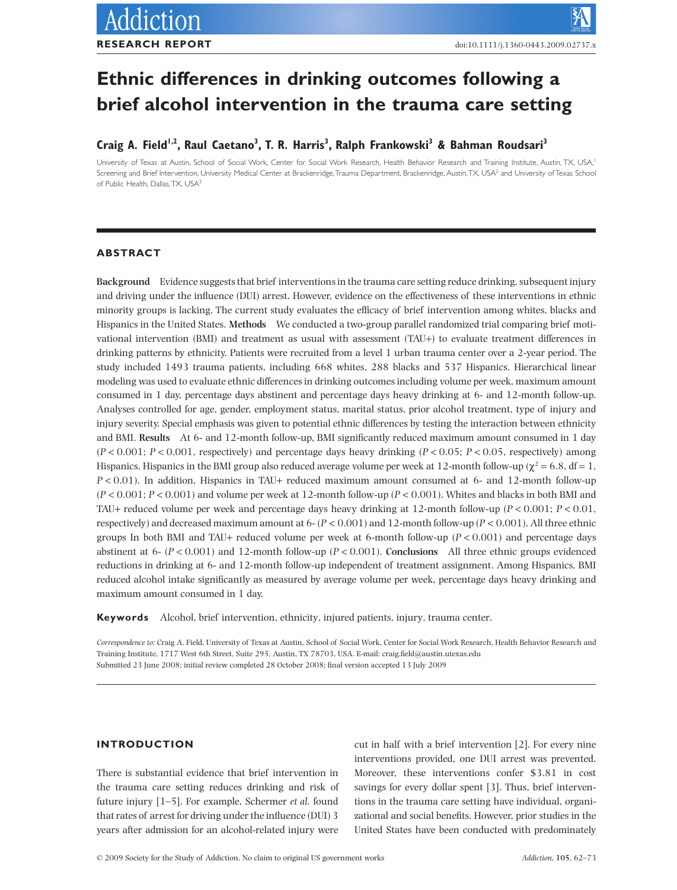# **Ethnic differences in drinking outcomes following a brief alcohol intervention in the trauma care setting**

## Craig A. Field<sup>1,2</sup>, Raul Caetano<sup>3</sup>, T. R. Harris<sup>3</sup>, Ralph Frankowski<sup>3</sup> & Bahman Roudsari<sup>3</sup>

University of Texas at Austin, School of Social Work, Center for Social Work Research, Health Behavior Research and Training Institute, Austin, TX, USA,<sup>1</sup> Screening and Brief Intervention, University Medical Center at Brackenridge, Trauma Department, Brackenridge, Austin, TX, USA<sup>2</sup> and University of Texas School of Public Health, Dallas, TX, USA3

## **ABSTRACT**

**Background** Evidence suggests that brief interventions in the trauma care setting reduce drinking, subsequent injury and driving under the influence (DUI) arrest. However, evidence on the effectiveness of these interventions in ethnic minority groups is lacking. The current study evaluates the efficacy of brief intervention among whites, blacks and Hispanics in the United States. **Methods** We conducted a two-group parallel randomized trial comparing brief motivational intervention (BMI) and treatment as usual with assessment (TAU+) to evaluate treatment differences in drinking patterns by ethnicity. Patients were recruited from a level 1 urban trauma center over a 2-year period. The study included 1493 trauma patients, including 668 whites, 288 blacks and 537 Hispanics. Hierarchical linear modeling was used to evaluate ethnic differences in drinking outcomes including volume per week, maximum amount consumed in 1 day, percentage days abstinent and percentage days heavy drinking at 6- and 12-month follow-up. Analyses controlled for age, gender, employment status, marital status, prior alcohol treatment, type of injury and injury severity. Special emphasis was given to potential ethnic differences by testing the interaction between ethnicity and BMI. **Results** At 6- and 12-month follow-up, BMI significantly reduced maximum amount consumed in 1 day  $(P < 0.001; P < 0.001$ , respectively) and percentage days heavy drinking  $(P < 0.05; P < 0.05$ , respectively) among Hispanics. Hispanics in the BMI group also reduced average volume per week at 12-month follow-up ( $\chi^2$  = 6.8, df = 1,  $P < 0.01$ ). In addition, Hispanics in TAU+ reduced maximum amount consumed at 6- and 12-month follow-up (*P* < 0.001; *P* < 0.001) and volume per week at 12-month follow-up (*P* < 0.001). Whites and blacks in both BMI and TAU+ reduced volume per week and percentage days heavy drinking at 12-month follow-up (*P* < 0.001; *P* < 0.01, respectively) and decreased maximum amount at 6- (*P* < 0.001) and 12-month follow-up (*P* < 0.001). All three ethnic groups In both BMI and TAU+ reduced volume per week at 6-month follow-up (*P* < 0.001) and percentage days abstinent at 6- (*P* < 0.001) and 12-month follow-up (*P* < 0.001). **Conclusions** All three ethnic groups evidenced reductions in drinking at 6- and 12-month follow-up independent of treatment assignment. Among Hispanics, BMI reduced alcohol intake significantly as measured by average volume per week, percentage days heavy drinking and maximum amount consumed in 1 day.

**Keywords** Alcohol, brief intervention, ethnicity, injured patients, injury, trauma center.

*Correspondence to:* Craig A. Field, University of Texas at Austin, School of Social Work, Center for Social Work Research, Health Behavior Research and Training Institute, 1717 West 6th Street, Suite 295, Austin, TX 78703, USA. E-mail: craig.field@austin.utexas.edu Submitted 23 June 2008; initial review completed 28 October 2008; final version accepted 13 July 2009

## **INTRODUCTION**

There is substantial evidence that brief intervention in the trauma care setting reduces drinking and risk of future injury [1–5]. For example, Schermer *et al.* found that rates of arrest for driving under the influence (DUI) 3 years after admission for an alcohol-related injury were

cut in half with a brief intervention [2]. For every nine interventions provided, one DUI arrest was prevented. Moreover, these interventions confer \$3.81 in cost savings for every dollar spent [3]. Thus, brief interventions in the trauma care setting have individual, organizational and social benefits. However, prior studies in the United States have been conducted with predominately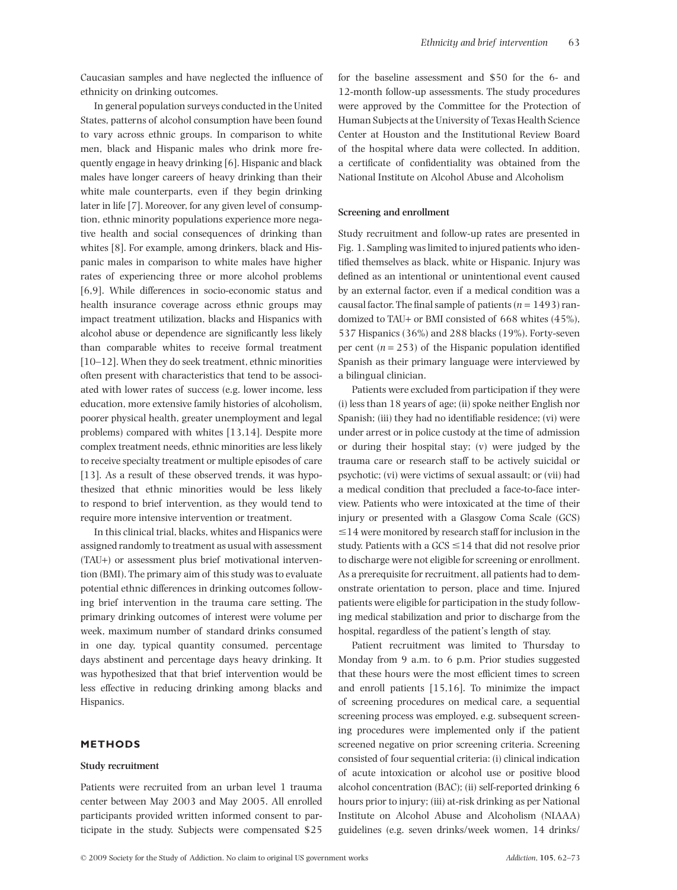Caucasian samples and have neglected the influence of ethnicity on drinking outcomes.

In general population surveys conducted in the United States, patterns of alcohol consumption have been found to vary across ethnic groups. In comparison to white men, black and Hispanic males who drink more frequently engage in heavy drinking [6]. Hispanic and black males have longer careers of heavy drinking than their white male counterparts, even if they begin drinking later in life [7]. Moreover, for any given level of consumption, ethnic minority populations experience more negative health and social consequences of drinking than whites [8]. For example, among drinkers, black and Hispanic males in comparison to white males have higher rates of experiencing three or more alcohol problems [6,9]. While differences in socio-economic status and health insurance coverage across ethnic groups may impact treatment utilization, blacks and Hispanics with alcohol abuse or dependence are significantly less likely than comparable whites to receive formal treatment [10–12]. When they do seek treatment, ethnic minorities often present with characteristics that tend to be associated with lower rates of success (e.g. lower income, less education, more extensive family histories of alcoholism, poorer physical health, greater unemployment and legal problems) compared with whites [13,14]. Despite more complex treatment needs, ethnic minorities are less likely to receive specialty treatment or multiple episodes of care [13]. As a result of these observed trends, it was hypothesized that ethnic minorities would be less likely to respond to brief intervention, as they would tend to require more intensive intervention or treatment.

In this clinical trial, blacks, whites and Hispanics were assigned randomly to treatment as usual with assessment (TAU+) or assessment plus brief motivational intervention (BMI). The primary aim of this study was to evaluate potential ethnic differences in drinking outcomes following brief intervention in the trauma care setting. The primary drinking outcomes of interest were volume per week, maximum number of standard drinks consumed in one day, typical quantity consumed, percentage days abstinent and percentage days heavy drinking. It was hypothesized that that brief intervention would be less effective in reducing drinking among blacks and Hispanics.

#### **METHODS**

#### **Study recruitment**

Patients were recruited from an urban level 1 trauma center between May 2003 and May 2005. All enrolled participants provided written informed consent to participate in the study. Subjects were compensated \$25 for the baseline assessment and \$50 for the 6- and 12-month follow-up assessments. The study procedures were approved by the Committee for the Protection of Human Subjects at the University of Texas Health Science Center at Houston and the Institutional Review Board of the hospital where data were collected. In addition, a certificate of confidentiality was obtained from the National Institute on Alcohol Abuse and Alcoholism

#### **Screening and enrollment**

Study recruitment and follow-up rates are presented in Fig. 1. Sampling was limited to injured patients who identified themselves as black, white or Hispanic. Injury was defined as an intentional or unintentional event caused by an external factor, even if a medical condition was a causal factor. The final sample of patients  $(n = 1493)$  randomized to TAU+ or BMI consisted of 668 whites (45%), 537 Hispanics (36%) and 288 blacks (19%). Forty-seven per cent  $(n = 253)$  of the Hispanic population identified Spanish as their primary language were interviewed by a bilingual clinician.

Patients were excluded from participation if they were (i) less than 18 years of age; (ii) spoke neither English nor Spanish; (iii) they had no identifiable residence; (vi) were under arrest or in police custody at the time of admission or during their hospital stay; (v) were judged by the trauma care or research staff to be actively suicidal or psychotic; (vi) were victims of sexual assault; or (vii) had a medical condition that precluded a face-to-face interview. Patients who were intoxicated at the time of their injury or presented with a Glasgow Coma Scale (GCS)  $\leq$  14 were monitored by research staff for inclusion in the study. Patients with a  $GCS \leq 14$  that did not resolve prior to discharge were not eligible for screening or enrollment. As a prerequisite for recruitment, all patients had to demonstrate orientation to person, place and time. Injured patients were eligible for participation in the study following medical stabilization and prior to discharge from the hospital, regardless of the patient's length of stay.

Patient recruitment was limited to Thursday to Monday from 9 a.m. to 6 p.m. Prior studies suggested that these hours were the most efficient times to screen and enroll patients [15,16]. To minimize the impact of screening procedures on medical care, a sequential screening process was employed, e.g. subsequent screening procedures were implemented only if the patient screened negative on prior screening criteria. Screening consisted of four sequential criteria: (i) clinical indication of acute intoxication or alcohol use or positive blood alcohol concentration (BAC); (ii) self-reported drinking 6 hours prior to injury; (iii) at-risk drinking as per National Institute on Alcohol Abuse and Alcoholism (NIAAA) guidelines (e.g. seven drinks/week women, 14 drinks/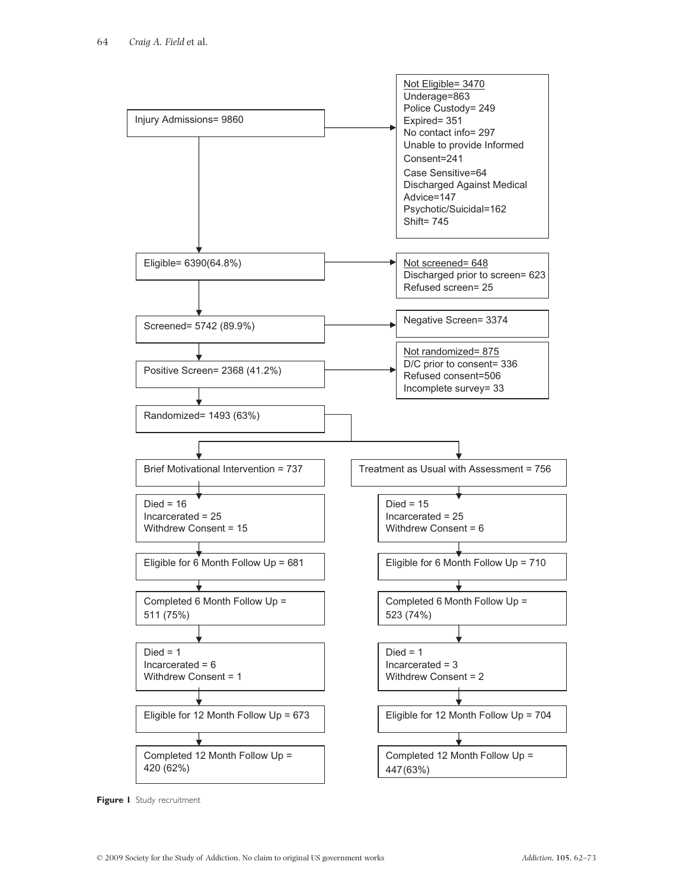

**Figure I** Study recruitment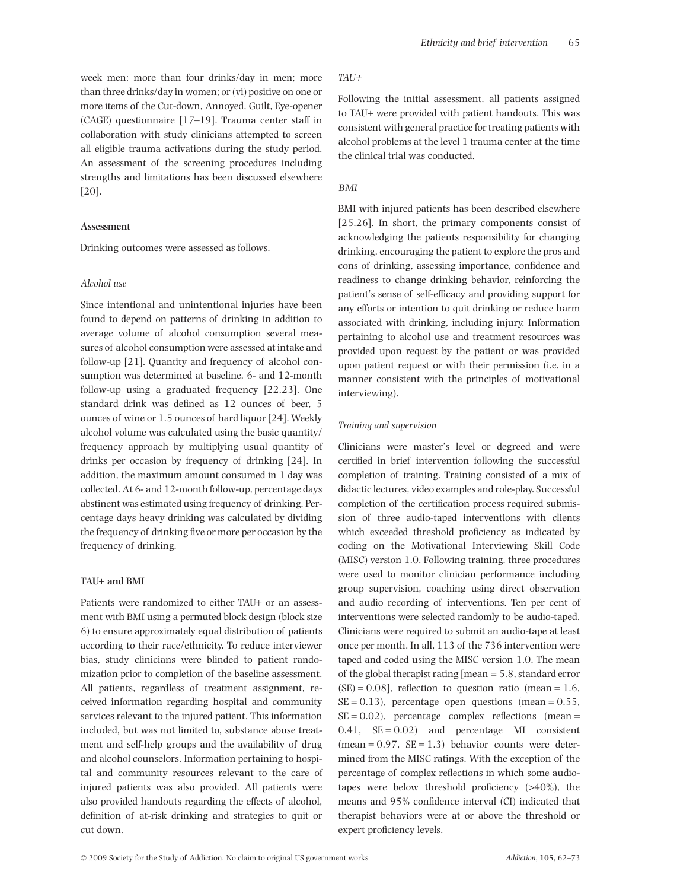week men; more than four drinks/day in men; more than three drinks/day in women; or (vi) positive on one or more items of the Cut-down, Annoyed, Guilt, Eye-opener (CAGE) questionnaire [17–19]. Trauma center staff in collaboration with study clinicians attempted to screen all eligible trauma activations during the study period. An assessment of the screening procedures including strengths and limitations has been discussed elsewhere [20].

#### **Assessment**

Drinking outcomes were assessed as follows.

#### *Alcohol use*

Since intentional and unintentional injuries have been found to depend on patterns of drinking in addition to average volume of alcohol consumption several measures of alcohol consumption were assessed at intake and follow-up [21]. Quantity and frequency of alcohol consumption was determined at baseline, 6- and 12-month follow-up using a graduated frequency [22,23]. One standard drink was defined as 12 ounces of beer, 5 ounces of wine or 1.5 ounces of hard liquor [24]. Weekly alcohol volume was calculated using the basic quantity/ frequency approach by multiplying usual quantity of drinks per occasion by frequency of drinking [24]. In addition, the maximum amount consumed in 1 day was collected. At 6- and 12-month follow-up, percentage days abstinent was estimated using frequency of drinking. Percentage days heavy drinking was calculated by dividing the frequency of drinking five or more per occasion by the frequency of drinking.

#### **TAU**+ **and BMI**

Patients were randomized to either TAU+ or an assessment with BMI using a permuted block design (block size 6) to ensure approximately equal distribution of patients according to their race/ethnicity. To reduce interviewer bias, study clinicians were blinded to patient randomization prior to completion of the baseline assessment. All patients, regardless of treatment assignment, received information regarding hospital and community services relevant to the injured patient. This information included, but was not limited to, substance abuse treatment and self-help groups and the availability of drug and alcohol counselors. Information pertaining to hospital and community resources relevant to the care of injured patients was also provided. All patients were also provided handouts regarding the effects of alcohol, definition of at-risk drinking and strategies to quit or cut down.

#### *TAU*+

Following the initial assessment, all patients assigned to TAU+ were provided with patient handouts. This was consistent with general practice for treating patients with alcohol problems at the level 1 trauma center at the time the clinical trial was conducted.

#### *BMI*

BMI with injured patients has been described elsewhere [25,26]. In short, the primary components consist of acknowledging the patients responsibility for changing drinking, encouraging the patient to explore the pros and cons of drinking, assessing importance, confidence and readiness to change drinking behavior, reinforcing the patient's sense of self-efficacy and providing support for any efforts or intention to quit drinking or reduce harm associated with drinking, including injury. Information pertaining to alcohol use and treatment resources was provided upon request by the patient or was provided upon patient request or with their permission (i.e. in a manner consistent with the principles of motivational interviewing).

#### *Training and supervision*

Clinicians were master's level or degreed and were certified in brief intervention following the successful completion of training. Training consisted of a mix of didactic lectures, video examples and role-play. Successful completion of the certification process required submission of three audio-taped interventions with clients which exceeded threshold proficiency as indicated by coding on the Motivational Interviewing Skill Code (MISC) version 1.0. Following training, three procedures were used to monitor clinician performance including group supervision, coaching using direct observation and audio recording of interventions. Ten per cent of interventions were selected randomly to be audio-taped. Clinicians were required to submit an audio-tape at least once per month. In all, 113 of the 736 intervention were taped and coded using the MISC version 1.0. The mean of the global therapist rating [mean = 5.8, standard error  $(SE) = 0.08$ ], reflection to question ratio (mean = 1.6,  $SE = 0.13$ ), percentage open questions (mean = 0.55,  $SE = 0.02$ ), percentage complex reflections (mean =  $0.41$ ,  $SE = 0.02$ ) and percentage MI consistent  $(mean = 0.97, SE = 1.3)$  behavior counts were determined from the MISC ratings. With the exception of the percentage of complex reflections in which some audiotapes were below threshold proficiency (>40%), the means and 95% confidence interval (CI) indicated that therapist behaviors were at or above the threshold or expert proficiency levels.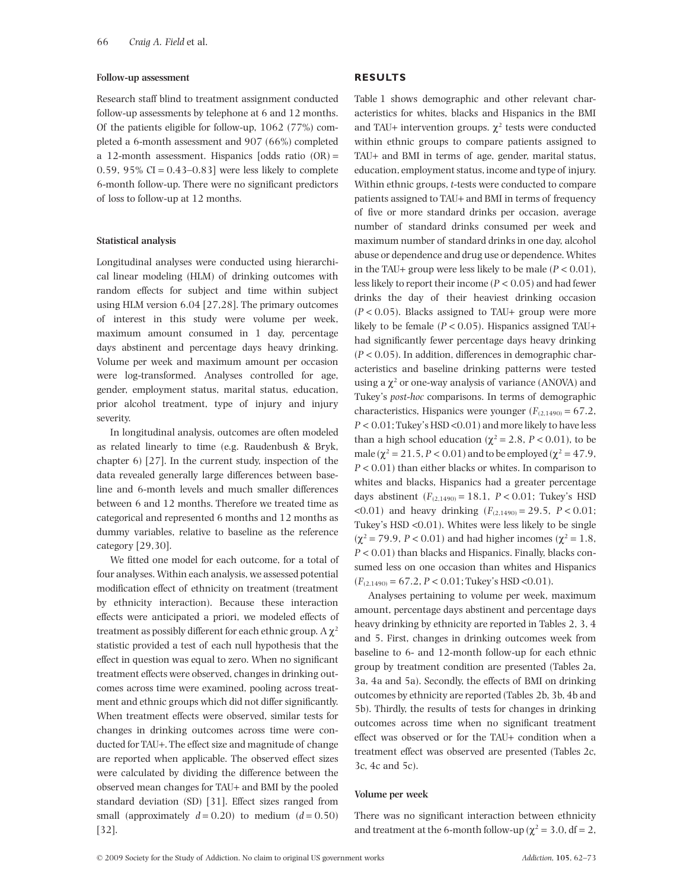#### **Follow-up assessment**

Research staff blind to treatment assignment conducted follow-up assessments by telephone at 6 and 12 months. Of the patients eligible for follow-up, 1062 (77%) completed a 6-month assessment and 907 (66%) completed a 12-month assessment. Hispanics  $[odds \text{ ratio } (OR) =$ 0.59, 95% CI =  $0.43-0.83$ ] were less likely to complete 6-month follow-up. There were no significant predictors of loss to follow-up at 12 months.

#### **Statistical analysis**

Longitudinal analyses were conducted using hierarchical linear modeling (HLM) of drinking outcomes with random effects for subject and time within subject using HLM version 6.04 [27,28]. The primary outcomes of interest in this study were volume per week, maximum amount consumed in 1 day, percentage days abstinent and percentage days heavy drinking. Volume per week and maximum amount per occasion were log-transformed. Analyses controlled for age, gender, employment status, marital status, education, prior alcohol treatment, type of injury and injury severity.

In longitudinal analysis, outcomes are often modeled as related linearly to time (e.g. Raudenbush & Bryk, chapter 6) [27]. In the current study, inspection of the data revealed generally large differences between baseline and 6-month levels and much smaller differences between 6 and 12 months. Therefore we treated time as categorical and represented 6 months and 12 months as dummy variables, relative to baseline as the reference category [29,30].

We fitted one model for each outcome, for a total of four analyses. Within each analysis, we assessed potential modification effect of ethnicity on treatment (treatment by ethnicity interaction). Because these interaction effects were anticipated a priori, we modeled effects of treatment as possibly different for each ethnic group. A  $\chi^2$ statistic provided a test of each null hypothesis that the effect in question was equal to zero. When no significant treatment effects were observed, changes in drinking outcomes across time were examined, pooling across treatment and ethnic groups which did not differ significantly. When treatment effects were observed, similar tests for changes in drinking outcomes across time were conducted for TAU+. The effect size and magnitude of change are reported when applicable. The observed effect sizes were calculated by dividing the difference between the observed mean changes for TAU+ and BMI by the pooled standard deviation (SD) [31]. Effect sizes ranged from small (approximately  $d = 0.20$ ) to medium  $(d = 0.50)$ [32].

#### **RESULTS**

Table 1 shows demographic and other relevant characteristics for whites, blacks and Hispanics in the BMI and TAU+ intervention groups.  $\chi^2$  tests were conducted within ethnic groups to compare patients assigned to TAU+ and BMI in terms of age, gender, marital status, education, employment status, income and type of injury. Within ethnic groups, *t*-tests were conducted to compare patients assigned to TAU+ and BMI in terms of frequency of five or more standard drinks per occasion, average number of standard drinks consumed per week and maximum number of standard drinks in one day, alcohol abuse or dependence and drug use or dependence. Whites in the TAU+ group were less likely to be male  $(P < 0.01)$ , less likely to report their income (*P* < 0.05) and had fewer drinks the day of their heaviest drinking occasion  $(P < 0.05)$ . Blacks assigned to TAU+ group were more likely to be female  $(P < 0.05)$ . Hispanics assigned TAU+ had significantly fewer percentage days heavy drinking  $(P < 0.05)$ . In addition, differences in demographic characteristics and baseline drinking patterns were tested using a  $\chi^2$  or one-way analysis of variance (ANOVA) and Tukey's *post-hoc* comparisons. In terms of demographic characteristics, Hispanics were younger  $(F_{(2,1490)} = 67.2$ , *P* < 0.01; Tukey's HSD <0.01) and more likely to have less than a high school education ( $\chi^2$  = 2.8, *P* < 0.01), to be male ( $\chi^2 = 21.5$ , *P* < 0.01) and to be employed ( $\chi^2 = 47.9$ , *P* < 0.01) than either blacks or whites. In comparison to whites and blacks, Hispanics had a greater percentage days abstinent  $(F_{(2,1490)} = 18.1, P < 0.01;$  Tukey's HSD <0.01) and heavy drinking  $(F_{(2,1490)} = 29.5, P < 0.01;$ Tukey's HSD <0.01). Whites were less likely to be single  $(\chi^2 = 79.9, P < 0.01)$  and had higher incomes  $(\chi^2 = 1.8,$ *P* < 0.01) than blacks and Hispanics. Finally, blacks consumed less on one occasion than whites and Hispanics  $(F_{(2,1490)} = 67.2, P < 0.01$ ; Tukey's HSD <0.01).

Analyses pertaining to volume per week, maximum amount, percentage days abstinent and percentage days heavy drinking by ethnicity are reported in Tables 2, 3, 4 and 5. First, changes in drinking outcomes week from baseline to 6- and 12-month follow-up for each ethnic group by treatment condition are presented (Tables 2a, 3a, 4a and 5a). Secondly, the effects of BMI on drinking outcomes by ethnicity are reported (Tables 2b, 3b, 4b and 5b). Thirdly, the results of tests for changes in drinking outcomes across time when no significant treatment effect was observed or for the TAU+ condition when a treatment effect was observed are presented (Tables 2c, 3c, 4c and 5c).

#### **Volume per week**

There was no significant interaction between ethnicity and treatment at the 6-month follow-up ( $\chi^2$  = 3.0, df = 2,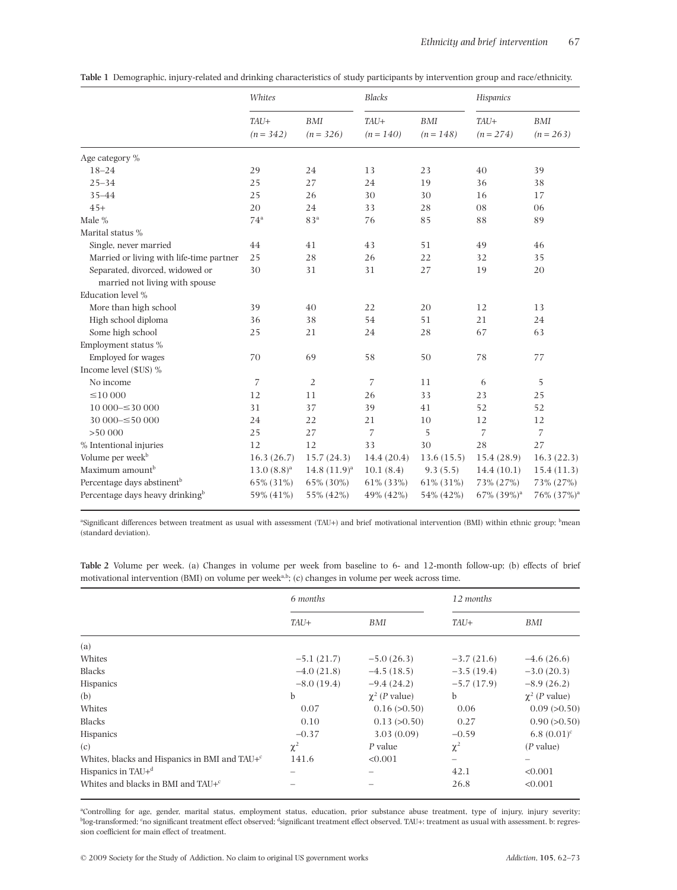|                                                                   | Whites              |                           | <b>Blacks</b>         |                           | <b>Hispanics</b>             |                           |
|-------------------------------------------------------------------|---------------------|---------------------------|-----------------------|---------------------------|------------------------------|---------------------------|
|                                                                   | TAU+<br>$(n = 342)$ | <b>BMI</b><br>$(n = 326)$ | $TAU+$<br>$(n = 140)$ | <b>BMI</b><br>$(n = 148)$ | $TAU+$<br>$(n = 274)$        | <b>BMI</b><br>$(n = 263)$ |
| Age category %                                                    |                     |                           |                       |                           |                              |                           |
| $18 - 24$                                                         | 29                  | 24                        | 13                    | 23                        | 40                           | 39                        |
| $25 - 34$                                                         | 25                  | 27                        | 24                    | 19                        | 36                           | 38                        |
| $35 - 44$                                                         | 25                  | 26                        | 30                    | 30                        | 16                           | 17                        |
| $45+$                                                             | 20                  | 24                        | 33                    | 28                        | 08                           | 06                        |
| Male %                                                            | 74 <sup>a</sup>     | 83 <sup>a</sup>           | 76                    | 85                        | 88                           | 89                        |
| Marital status %                                                  |                     |                           |                       |                           |                              |                           |
| Single, never married                                             | 44                  | 41                        | 43                    | 51                        | 49                           | 46                        |
| Married or living with life-time partner                          | 25                  | 28                        | 26                    | 22                        | 32                           | 35                        |
| Separated, divorced, widowed or<br>married not living with spouse | 30                  | 31                        | 31                    | 27                        | 19                           | 20                        |
| Education level %                                                 |                     |                           |                       |                           |                              |                           |
| More than high school                                             | 39                  | 40                        | 22                    | 20                        | 12                           | 13                        |
| High school diploma                                               | 36                  | 38                        | 54                    | 51                        | 21                           | 24                        |
| Some high school                                                  | 25                  | 21                        | 24                    | 28                        | 67                           | 63                        |
| Employment status %                                               |                     |                           |                       |                           |                              |                           |
| <b>Employed for wages</b>                                         | 70                  | 69                        | 58                    | 50                        | 78                           | 77                        |
| Income level (\$US) %                                             |                     |                           |                       |                           |                              |                           |
| No income                                                         | 7                   | 2                         | 7                     | 11                        | 6                            | 5                         |
| $\leq 10000$                                                      | 12                  | 11                        | 26                    | 33                        | 23                           | 25                        |
| $10000 = 30000$                                                   | 31                  | 37                        | 39                    | 41                        | 52                           | 52                        |
| $30000 = 5000$                                                    | 24                  | 22                        | 21                    | 10                        | 12                           | 12                        |
| >50 000                                                           | 25                  | 27                        | 7                     | 5                         | 7                            | $\overline{7}$            |
| % Intentional injuries                                            | 12                  | 12                        | 33                    | 30                        | 28                           | 27                        |
| Volume per week <sup>b</sup>                                      | 16.3(26.7)          | 15.7(24.3)                | 14.4(20.4)            | 13.6(15.5)                | 15.4(28.9)                   | 16.3(22.3)                |
| Maximum amount <sup>b</sup>                                       | $13.0(8.8)^a$       | $14.8(11.9)^{a}$          | 10.1(8.4)             | 9.3(5.5)                  | 14.4(10.1)                   | 15.4(11.3)                |
| Percentage days abstinent <sup>b</sup>                            | 65% (31%)           | 65% (30%)                 | 61% (33%)             | 61% (31%)                 | 73% (27%)                    | 73% (27%)                 |
| Percentage days heavy drinking <sup>b</sup>                       | 59% (41%)           | 55% (42%)                 | 49% (42%)             | 54% (42%)                 | $67\%$ $(39\%)$ <sup>a</sup> | 76% (37%) <sup>a</sup>    |

|  |  |  |  |  | Table 1 Demographic, injury-related and drinking characteristics of study participants by intervention group and race/ethnicity. |  |
|--|--|--|--|--|----------------------------------------------------------------------------------------------------------------------------------|--|
|--|--|--|--|--|----------------------------------------------------------------------------------------------------------------------------------|--|

<sup>a</sup>Significant differences between treatment as usual with assessment (TAU+) and brief motivational intervention (BMI) within ethnic group; <sup>b</sup>mean (standard deviation).

**Table 2** Volume per week. (a) Changes in volume per week from baseline to 6- and 12-month follow-up; (b) effects of brief motivational intervention (BMI) on volume per week<sup>a,b</sup>; (c) changes in volume per week across time.

|                                                           | 6 months     |                            | 12 months    |                            |
|-----------------------------------------------------------|--------------|----------------------------|--------------|----------------------------|
|                                                           | TAU+         | BMI                        | TAU+         | BMI                        |
| (a)                                                       |              |                            |              |                            |
| Whites                                                    | $-5.1(21.7)$ | $-5.0(26.3)$               | $-3.7(21.6)$ | $-4.6(26.6)$               |
| <b>Blacks</b>                                             | $-4.0(21.8)$ | $-4.5(18.5)$               | $-3.5(19.4)$ | $-3.0(20.3)$               |
| <b>Hispanics</b>                                          | $-8.0(19.4)$ | $-9.4(24.2)$               | $-5.7(17.9)$ | $-8.9(26.2)$               |
| (b)                                                       | b            | $\chi^2$ ( <i>P</i> value) | b            | $\chi^2$ ( <i>P</i> value) |
| Whites                                                    | 0.07         | 0.16(>0.50)                | 0.06         | $0.09$ ( $>0.50$ )         |
| <b>Blacks</b>                                             | 0.10         | 0.13(>0.50)                | 0.27         | $0.90$ ( $>0.50$ )         |
| <b>Hispanics</b>                                          | $-0.37$      | 3.03(0.09)                 | $-0.59$      | $6.8(0.01)^c$              |
| (c)                                                       | $\chi^2$     | P value                    | $\chi^2$     | $(P$ value)                |
| Whites, blacks and Hispanics in BMI and TAU+ <sup>c</sup> | 141.6        | < 0.001                    |              |                            |
| Hispanics in TAU $+$ <sup>d</sup>                         |              |                            | 42.1         | < 0.001                    |
| Whites and blacks in BMI and TAU $+$ <sup>c</sup>         |              |                            | 26.8         | < 0.001                    |

a Controlling for age, gender, marital status, employment status, education, prior substance abuse treatment, type of injury, injury severity; <sup>b</sup>log-transformed; <sup>c</sup>no significant treatment effect observed; <sup>d</sup>significant treatment effect observed. TAU+: treatment as usual with assessment. b: regression coefficient for main effect of treatment.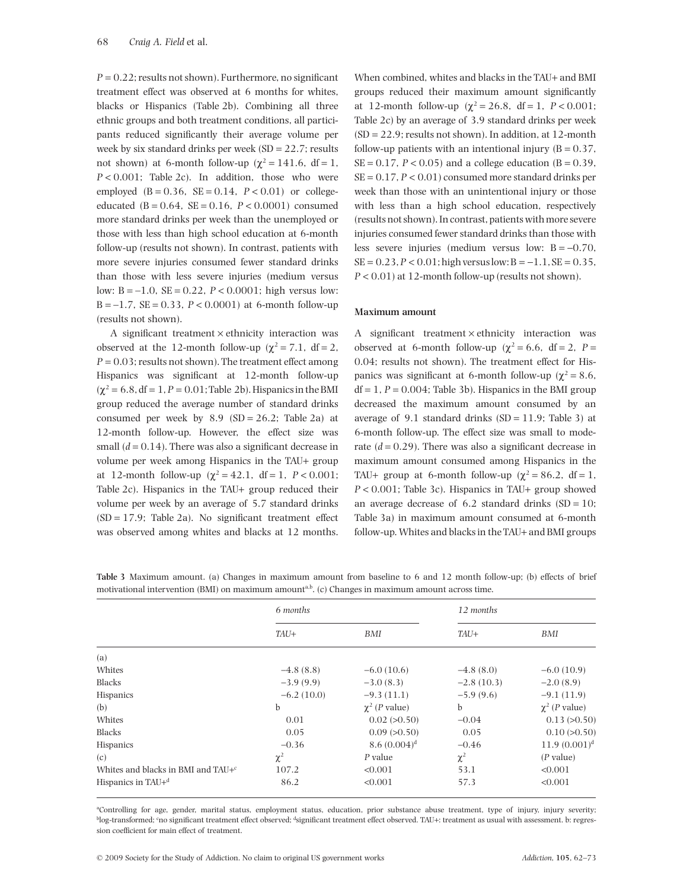$P = 0.22$ ; results not shown). Furthermore, no significant treatment effect was observed at 6 months for whites, blacks or Hispanics (Table 2b). Combining all three ethnic groups and both treatment conditions, all participants reduced significantly their average volume per week by six standard drinks per week (SD = 22.7; results not shown) at 6-month follow-up ( $\gamma^2 = 141.6$ , df = 1,  $P < 0.001$ ; Table 2c). In addition, those who were employed  $(B = 0.36, SE = 0.14, P < 0.01)$  or collegeeducated ( $B = 0.64$ ,  $SE = 0.16$ ,  $P < 0.0001$ ) consumed more standard drinks per week than the unemployed or those with less than high school education at 6-month follow-up (results not shown). In contrast, patients with more severe injuries consumed fewer standard drinks than those with less severe injuries (medium versus low:  $B = -1.0$ ,  $SE = 0.22$ ,  $P < 0.0001$ ; high versus low:  $B = -1.7$ ,  $SE = 0.33$ ,  $P < 0.0001$ ) at 6-month follow-up (results not shown).

A significant treatment  $\times$  ethnicity interaction was observed at the 12-month follow-up ( $\chi^2 = 7.1$ , df = 2,  $P = 0.03$ ; results not shown). The treatment effect among Hispanics was significant at 12-month follow-up  $(\chi^2 = 6.8, df = 1, P = 0.01;$ Table 2b). Hispanics in the BMI group reduced the average number of standard drinks consumed per week by  $8.9$  (SD = 26.2; Table 2a) at 12-month follow-up. However, the effect size was small  $(d = 0.14)$ . There was also a significant decrease in volume per week among Hispanics in the TAU+ group at 12-month follow-up  $(\chi^2 = 42.1, df = 1, P < 0.001;$ Table 2c). Hispanics in the TAU+ group reduced their volume per week by an average of 5.7 standard drinks  $(SD = 17.9;$  Table 2a). No significant treatment effect was observed among whites and blacks at 12 months. When combined, whites and blacks in the TAU+ and BMI groups reduced their maximum amount significantly at 12-month follow-up ( $\chi^2 = 26.8$ , df = 1,  $P < 0.001$ ; Table 2c) by an average of 3.9 standard drinks per week  $(SD = 22.9$ ; results not shown). In addition, at 12-month follow-up patients with an intentional injury  $(B = 0.37)$ ,  $SE = 0.17$ ,  $P < 0.05$ ) and a college education ( $B = 0.39$ ,  $SE = 0.17$ ,  $P < 0.01$ ) consumed more standard drinks per week than those with an unintentional injury or those with less than a high school education, respectively (results not shown). In contrast, patients with more severe injuries consumed fewer standard drinks than those with less severe injuries (medium versus low:  $B = -0.70$ ,  $SE = 0.23$ ,  $P < 0.01$ ; high versus low:  $B = -1.1$ ,  $SE = 0.35$ , *P* < 0.01) at 12-month follow-up (results not shown).

#### **Maximum amount**

A significant treatment  $\times$  ethnicity interaction was observed at 6-month follow-up ( $\chi^2 = 6.6$ , df = 2, *P* = 0.04; results not shown). The treatment effect for Hispanics was significant at 6-month follow-up ( $\chi^2 = 8.6$ ,  $df = 1$ ,  $P = 0.004$ ; Table 3b). Hispanics in the BMI group decreased the maximum amount consumed by an average of 9.1 standard drinks  $(SD = 11.9$ : Table 3) at 6-month follow-up. The effect size was small to moderate  $(d = 0.29)$ . There was also a significant decrease in maximum amount consumed among Hispanics in the TAU+ group at 6-month follow-up ( $\chi^2 = 86.2$ , df = 1, *P* < 0.001; Table 3c). Hispanics in TAU+ group showed an average decrease of  $6.2$  standard drinks  $(SD = 10;$ Table 3a) in maximum amount consumed at 6-month follow-up. Whites and blacks in the TAU+ and BMI groups

**Table 3** Maximum amount. (a) Changes in maximum amount from baseline to 6 and 12 month follow-up; (b) effects of brief motivational intervention (BMI) on maximum amount<sup>a,b</sup>. (c) Changes in maximum amount across time.

|                                                | 6 months     |                            | 12 months    |                      |
|------------------------------------------------|--------------|----------------------------|--------------|----------------------|
|                                                | $TAU+$       | BMI                        | TAU+         | BMI                  |
| (a)                                            |              |                            |              |                      |
| Whites                                         | $-4.8(8.8)$  | $-6.0(10.6)$               | $-4.8(8.0)$  | $-6.0(10.9)$         |
| <b>Blacks</b>                                  | $-3.9(9.9)$  | $-3.0(8.3)$                | $-2.8(10.3)$ | $-2.0(8.9)$          |
| Hispanics                                      | $-6.2(10.0)$ | $-9.3(11.1)$               | $-5.9(9.6)$  | $-9.1(11.9)$         |
| (b)                                            | b            | $\chi^2$ ( <i>P</i> value) | b            | $\gamma^2$ (P value) |
| Whites                                         | 0.01         | $0.02$ ( $>0.50$ )         | $-0.04$      | 0.13(>0.50)          |
| <b>Blacks</b>                                  | 0.05         | $0.09$ ( $>0.50$ )         | 0.05         | $0.10$ ( $> 0.50$ )  |
| Hispanics                                      | $-0.36$      | $8.6(0.004)^d$             | $-0.46$      | $11.9(0.001)^d$      |
| (c)                                            | $\chi^2$     | P value                    | $\chi^2$     | $(P$ value)          |
| Whites and blacks in BMI and TAU+ <sup>c</sup> | 107.2        | < 0.001                    | 53.1         | < 0.001              |
| Hispanics in TAU $+$ <sup>d</sup>              | 86.2         | < 0.001                    | 57.3         | < 0.001              |

a Controlling for age, gender, marital status, employment status, education, prior substance abuse treatment, type of injury, injury severity;  $^{\rm b}$ log-transformed;  $^{\rm c}$ no significant treatment effect observed;  $^{\rm d}$ significant treatment effect observed. TAU+: treatment as usual with assessment. b: regression coefficient for main effect of treatment.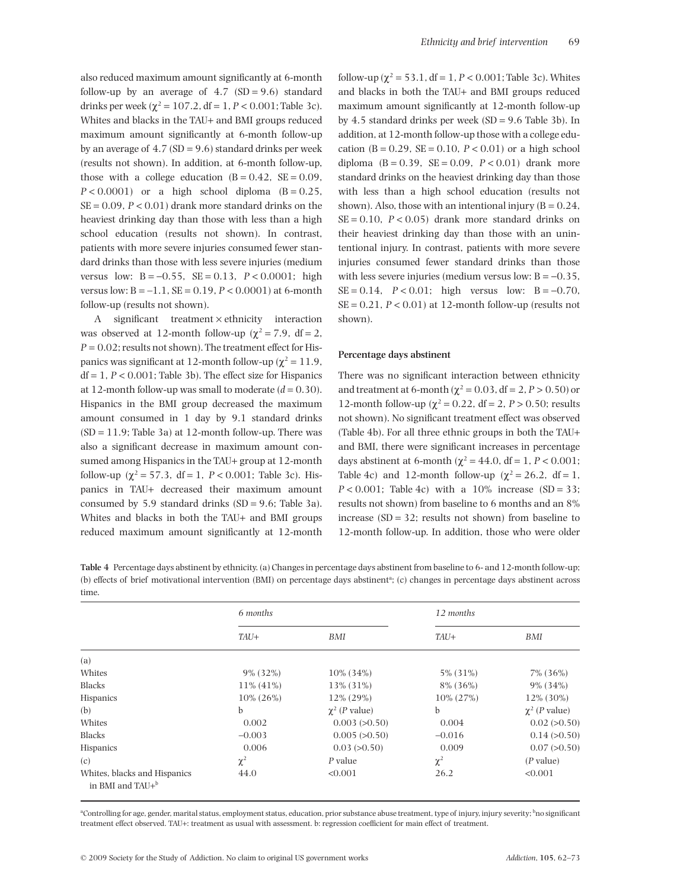also reduced maximum amount significantly at 6-month follow-up by an average of  $4.7$  (SD = 9.6) standard drinks per week ( $\chi^2 = 107.2$ , df = 1, *P* < 0.001; Table 3c). Whites and blacks in the TAU+ and BMI groups reduced maximum amount significantly at 6-month follow-up by an average of  $4.7$  (SD = 9.6) standard drinks per week (results not shown). In addition, at 6-month follow-up, those with a college education  $(B = 0.42, SE = 0.09,$  $P < 0.0001$ ) or a high school diploma (B = 0.25,  $SE = 0.09$ ,  $P < 0.01$ ) drank more standard drinks on the heaviest drinking day than those with less than a high school education (results not shown). In contrast, patients with more severe injuries consumed fewer standard drinks than those with less severe injuries (medium versus low:  $B = -0.55$ ,  $SE = 0.13$ ,  $P < 0.0001$ ; high versus low:  $B = -1.1$ ,  $SE = 0.19$ ,  $P < 0.0001$ ) at 6-month follow-up (results not shown).

A significant treatment  $\times$  ethnicity interaction was observed at 12-month follow-up ( $\chi^2$  = 7.9, df = 2, *P* = 0.02; results not shown). The treatment effect for Hispanics was significant at 12-month follow-up ( $\gamma^2 = 11.9$ , df = 1, *P* < 0.001; Table 3b). The effect size for Hispanics at 12-month follow-up was small to moderate  $(d = 0.30)$ . Hispanics in the BMI group decreased the maximum amount consumed in 1 day by 9.1 standard drinks  $(SD = 11.9$ ; Table 3a) at 12-month follow-up. There was also a significant decrease in maximum amount consumed among Hispanics in the TAU+ group at 12-month follow-up  $(\chi^2 = 57.3, df = 1, P < 0.001$ ; Table 3c). Hispanics in TAU+ decreased their maximum amount consumed by 5.9 standard drinks  $(SD = 9.6$ ; Table 3a). Whites and blacks in both the TAU+ and BMI groups reduced maximum amount significantly at 12-month

follow-up ( $\chi^2$  = 53.1, df = 1, *P* < 0.001; Table 3c). Whites and blacks in both the TAU+ and BMI groups reduced maximum amount significantly at 12-month follow-up by 4.5 standard drinks per week (SD = 9.6 Table 3b). In addition, at 12-month follow-up those with a college education ( $B = 0.29$ ,  $SE = 0.10$ ,  $P < 0.01$ ) or a high school diploma ( $B = 0.39$ ,  $SE = 0.09$ ,  $P < 0.01$ ) drank more standard drinks on the heaviest drinking day than those with less than a high school education (results not shown). Also, those with an intentional injury  $(B = 0.24,$  $SE = 0.10$ ,  $P < 0.05$ ) drank more standard drinks on their heaviest drinking day than those with an unintentional injury. In contrast, patients with more severe injuries consumed fewer standard drinks than those with less severe injuries (medium versus low:  $B = -0.35$ ,  $SE = 0.14$ ,  $P < 0.01$ ; high versus low:  $B = -0.70$ ,  $SE = 0.21$ ,  $P < 0.01$ ) at 12-month follow-up (results not shown).

#### **Percentage days abstinent**

There was no significant interaction between ethnicity and treatment at 6-month ( $\chi^2 = 0.03$ , df = 2, P > 0.50) or 12-month follow-up ( $\chi^2$  = 0.22, df = 2, *P* > 0.50; results not shown). No significant treatment effect was observed (Table 4b). For all three ethnic groups in both the TAU+ and BMI, there were significant increases in percentage days abstinent at 6-month ( $\chi^2$  = 44.0, df = 1, *P* < 0.001; Table 4c) and 12-month follow-up ( $\chi^2 = 26.2$ , df = 1,  $P < 0.001$ ; Table 4c) with a 10% increase (SD = 33; results not shown) from baseline to 6 months and an 8% increase  $(SD = 32;$  results not shown) from baseline to 12-month follow-up. In addition, those who were older

**Table 4** Percentage days abstinent by ethnicity. (a) Changes in percentage days abstinent from baseline to 6- and 12-month follow-up; (b) effects of brief motivational intervention (BMI) on percentage days abstinent<sup>a</sup>; (c) changes in percentage days abstinent across time.

|                                                      | 6 months      |                              | 12 months     |                              |
|------------------------------------------------------|---------------|------------------------------|---------------|------------------------------|
|                                                      | TAU+          | BMI                          | TAU+          | BMI                          |
| (a)                                                  |               |                              |               |                              |
| Whites                                               | $9\%$ (32%)   | $10\%$ (34%)                 | 5% (31%)      | 7% (36%)                     |
| <b>Blacks</b>                                        | $11\% (41\%)$ | 13% (31%)                    | $8\%$ (36%)   | $9\%$ (34%)                  |
| <b>Hispanics</b>                                     | $10\% (26\%)$ | $12\%$ (29%)                 | $10\% (27\%)$ | $12\%$ (30%)                 |
| (b)                                                  | $\mathbf b$   | $\gamma^2$ ( <i>P</i> value) | b             | $\gamma^2$ ( <i>P</i> value) |
| Whites                                               | 0.002         | $0.003$ $(>0.50)$            | 0.004         | $0.02$ ( $>0.50$ )           |
| <b>Blacks</b>                                        | $-0.003$      | $0.005$ ( $>0.50$ )          | $-0.016$      | $0.14$ ( $>0.50$ )           |
| <b>Hispanics</b>                                     | 0.006         | $0.03$ ( $>0.50$ )           | 0.009         | $0.07$ ( $>0.50$ )           |
| (c)                                                  | $\chi^2$      | P value                      | $\chi^2$      | $(P$ value)                  |
| Whites, blacks and Hispanics<br>in BMI and $TAII +b$ | 44.0          | < 0.001                      | 26.2          | < 0.001                      |

<sup>a</sup>Controlling for age, gender, marital status, employment status, education, prior substance abuse treatment, type of injury, injury severity; <sup>b</sup>no significant treatment effect observed. TAU+: treatment as usual with assessment. b: regression coefficient for main effect of treatment.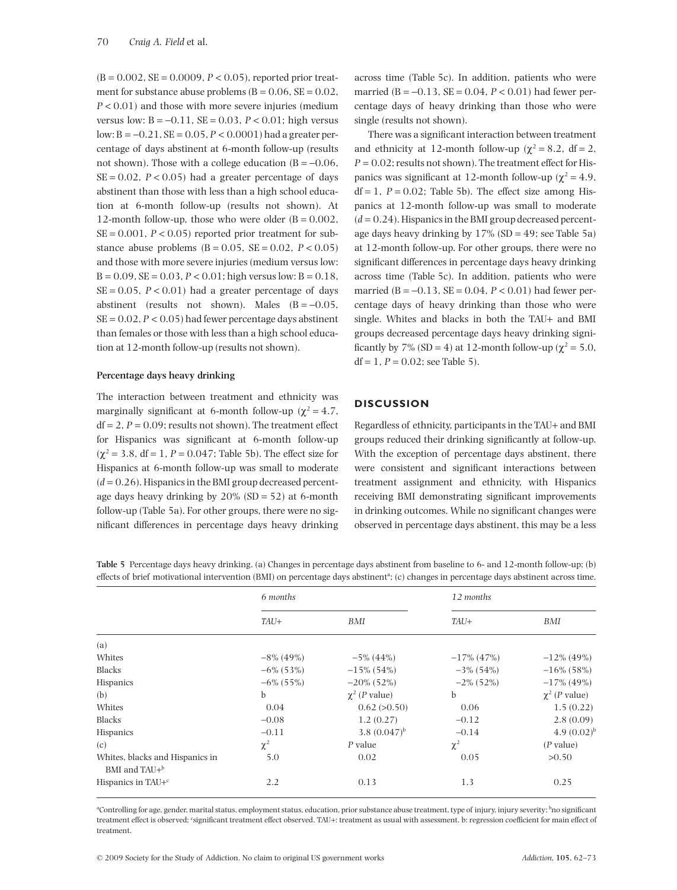$(B = 0.002, SE = 0.0009, P < 0.05)$ , reported prior treatment for substance abuse problems ( $B = 0.06$ ,  $SE = 0.02$ , *P* < 0.01) and those with more severe injuries (medium versus low:  $B = -0.11$ ,  $SE = 0.03$ ,  $P < 0.01$ ; high versus low: B = -0.21, SE = 0.05, *P* < 0.0001) had a greater percentage of days abstinent at 6-month follow-up (results not shown). Those with a college education  $(B = -0.06$ ,  $SE = 0.02$ ,  $P < 0.05$ ) had a greater percentage of days abstinent than those with less than a high school education at 6-month follow-up (results not shown). At 12-month follow-up, those who were older  $(B = 0.002$ ,  $SE = 0.001$ ,  $P < 0.05$ ) reported prior treatment for substance abuse problems  $(B = 0.05, SE = 0.02, P < 0.05)$ and those with more severe injuries (medium versus low:  $B = 0.09$ ,  $SE = 0.03$ ,  $P < 0.01$ ; high versus low:  $B = 0.18$ ,  $SE = 0.05$ ,  $P < 0.01$ ) had a greater percentage of days abstinent (results not shown). Males  $(B = -0.05$ ,  $SE = 0.02$ ,  $P < 0.05$ ) had fewer percentage days abstinent than females or those with less than a high school education at 12-month follow-up (results not shown).

#### **Percentage days heavy drinking**

The interaction between treatment and ethnicity was marginally significant at 6-month follow-up ( $\chi^2 = 4.7$ ,  $df = 2$ ,  $P = 0.09$ ; results not shown). The treatment effect for Hispanics was significant at 6-month follow-up  $(\chi^2 = 3.8, df = 1, P = 0.047;$  Table 5b). The effect size for Hispanics at 6-month follow-up was small to moderate  $(d = 0.26)$ . Hispanics in the BMI group decreased percentage days heavy drinking by  $20\%$  (SD = 52) at 6-month follow-up (Table 5a). For other groups, there were no significant differences in percentage days heavy drinking across time (Table 5c). In addition, patients who were married ( $B = -0.13$ ,  $SE = 0.04$ ,  $P < 0.01$ ) had fewer percentage days of heavy drinking than those who were single (results not shown).

There was a significant interaction between treatment and ethnicity at 12-month follow-up ( $\chi^2 = 8.2$ , df = 2, *P* = 0.02; results not shown). The treatment effect for Hispanics was significant at 12-month follow-up ( $\chi^2$  = 4.9,  $df = 1$ ,  $P = 0.02$ ; Table 5b). The effect size among Hispanics at 12-month follow-up was small to moderate  $(d = 0.24)$ . Hispanics in the BMI group decreased percentage days heavy drinking by  $17\%$  (SD = 49; see Table 5a) at 12-month follow-up. For other groups, there were no significant differences in percentage days heavy drinking across time (Table 5c). In addition, patients who were married ( $B = -0.13$ ,  $SE = 0.04$ ,  $P < 0.01$ ) had fewer percentage days of heavy drinking than those who were single. Whites and blacks in both the TAU+ and BMI groups decreased percentage days heavy drinking significantly by 7% (SD = 4) at 12-month follow-up ( $\chi^2$  = 5.0, df = 1,  $P = 0.02$ ; see Table 5).

#### **DISCUSSION**

Regardless of ethnicity, participants in the TAU+ and BMI groups reduced their drinking significantly at follow-up. With the exception of percentage days abstinent, there were consistent and significant interactions between treatment assignment and ethnicity, with Hispanics receiving BMI demonstrating significant improvements in drinking outcomes. While no significant changes were observed in percentage days abstinent, this may be a less

**Table 5** Percentage days heavy drinking. (a) Changes in percentage days abstinent from baseline to 6- and 12-month follow-up; (b) effects of brief motivational intervention (BMI) on percentage days abstinent<sup>a</sup>; (c) changes in percentage days abstinent across time.

|                                                     | 6 months     |                            | 12 months     |                            |
|-----------------------------------------------------|--------------|----------------------------|---------------|----------------------------|
|                                                     | TAU+         | BMI                        | TAU+          | BMI                        |
| (a)                                                 |              |                            |               |                            |
| Whites                                              | $-8\%$ (49%) | $-5\%$ (44%)               | $-17\%$ (47%) | $-12\%$ (49%)              |
| <b>Blacks</b>                                       | $-6\%$ (53%) | $-15\%$ (54%)              | $-3\%$ (54%)  | $-16\%$ (58%)              |
| Hispanics                                           | $-6\%$ (55%) | $-20\%$ (52%)              | $-2\%$ (52%)  | $-17\%$ (49%)              |
| (b)                                                 | b            | $\chi^2$ ( <i>P</i> value) | b             | $\chi^2$ ( <i>P</i> value) |
| Whites                                              | 0.04         | $0.62$ ( $>0.50$ )         | 0.06          | 1.5(0.22)                  |
| <b>Blacks</b>                                       | $-0.08$      | 1.2(0.27)                  | $-0.12$       | 2.8(0.09)                  |
| Hispanics                                           | $-0.11$      | 3.8 $(0.047)^{b}$          | $-0.14$       | $4.9(0.02)^{b}$            |
| (c)                                                 | $\chi^2$     | P value                    | $\chi^2$      | $(P$ value)                |
| Whites, blacks and Hispanics in<br>BMI and $TAU +b$ | 5.0          | 0.02                       | 0.05          | >0.50                      |
| Hispanics in TAU $+$ <sup>c</sup>                   | 2.2          | 0.13                       | 1.3           | 0.25                       |

a Controlling for age, gender, marital status, employment status, education, prior substance abuse treatment, type of injury, injury severity; <sup>b</sup> no significant treatment effect is observed; 'significant treatment effect observed. TAU+: treatment as usual with assessment. b: regression coefficient for main effect of treatment.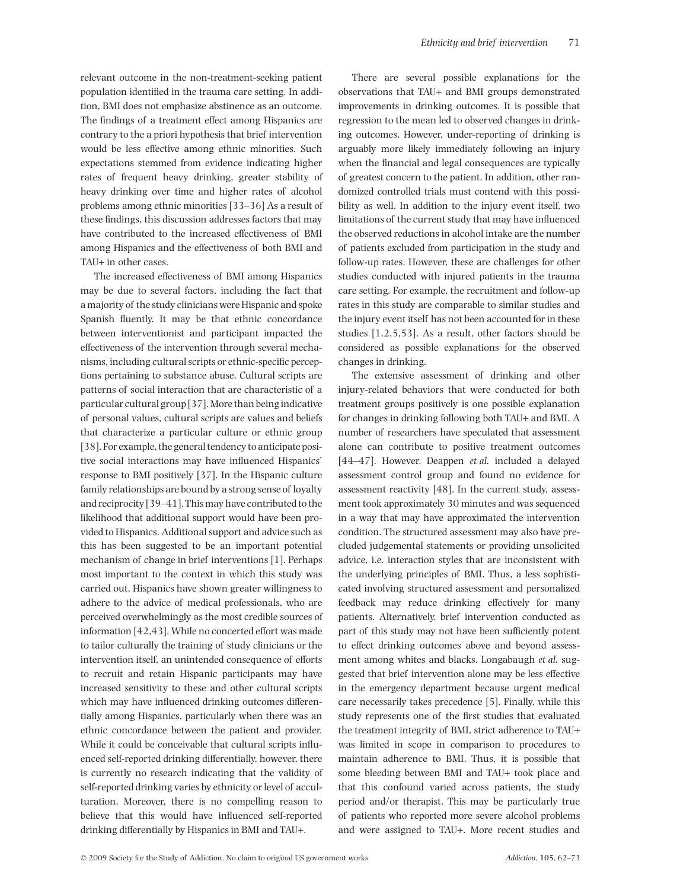relevant outcome in the non-treatment-seeking patient population identified in the trauma care setting. In addition, BMI does not emphasize abstinence as an outcome. The findings of a treatment effect among Hispanics are contrary to the a priori hypothesis that brief intervention would be less effective among ethnic minorities. Such expectations stemmed from evidence indicating higher rates of frequent heavy drinking, greater stability of heavy drinking over time and higher rates of alcohol problems among ethnic minorities [33–36] As a result of these findings, this discussion addresses factors that may have contributed to the increased effectiveness of BMI among Hispanics and the effectiveness of both BMI and TAU+ in other cases.

The increased effectiveness of BMI among Hispanics may be due to several factors, including the fact that a majority of the study clinicians were Hispanic and spoke Spanish fluently. It may be that ethnic concordance between interventionist and participant impacted the effectiveness of the intervention through several mechanisms, including cultural scripts or ethnic-specific perceptions pertaining to substance abuse. Cultural scripts are patterns of social interaction that are characteristic of a particular cultural group [37]. More than being indicative of personal values, cultural scripts are values and beliefs that characterize a particular culture or ethnic group [38]. For example, the general tendency to anticipate positive social interactions may have influenced Hispanics' response to BMI positively [37]. In the Hispanic culture family relationships are bound by a strong sense of loyalty and reciprocity [39–41].This may have contributed to the likelihood that additional support would have been provided to Hispanics. Additional support and advice such as this has been suggested to be an important potential mechanism of change in brief interventions [1]. Perhaps most important to the context in which this study was carried out, Hispanics have shown greater willingness to adhere to the advice of medical professionals, who are perceived overwhelmingly as the most credible sources of information [42,43]. While no concerted effort was made to tailor culturally the training of study clinicians or the intervention itself, an unintended consequence of efforts to recruit and retain Hispanic participants may have increased sensitivity to these and other cultural scripts which may have influenced drinking outcomes differentially among Hispanics, particularly when there was an ethnic concordance between the patient and provider. While it could be conceivable that cultural scripts influenced self-reported drinking differentially, however, there is currently no research indicating that the validity of self-reported drinking varies by ethnicity or level of acculturation. Moreover, there is no compelling reason to believe that this would have influenced self-reported drinking differentially by Hispanics in BMI and TAU+.

There are several possible explanations for the observations that TAU+ and BMI groups demonstrated improvements in drinking outcomes. It is possible that regression to the mean led to observed changes in drinking outcomes. However, under-reporting of drinking is arguably more likely immediately following an injury when the financial and legal consequences are typically of greatest concern to the patient. In addition, other randomized controlled trials must contend with this possibility as well. In addition to the injury event itself, two limitations of the current study that may have influenced the observed reductions in alcohol intake are the number of patients excluded from participation in the study and follow-up rates. However, these are challenges for other studies conducted with injured patients in the trauma care setting. For example, the recruitment and follow-up rates in this study are comparable to similar studies and the injury event itself has not been accounted for in these studies [1,2,5,53]. As a result, other factors should be considered as possible explanations for the observed changes in drinking.

The extensive assessment of drinking and other injury-related behaviors that were conducted for both treatment groups positively is one possible explanation for changes in drinking following both TAU+ and BMI. A number of researchers have speculated that assessment alone can contribute to positive treatment outcomes [44–47]. However, Deappen *et al.* included a delayed assessment control group and found no evidence for assessment reactivity [48]. In the current study, assessment took approximately 30 minutes and was sequenced in a way that may have approximated the intervention condition. The structured assessment may also have precluded judgemental statements or providing unsolicited advice, i.e. interaction styles that are inconsistent with the underlying principles of BMI. Thus, a less sophisticated involving structured assessment and personalized feedback may reduce drinking effectively for many patients. Alternatively, brief intervention conducted as part of this study may not have been sufficiently potent to effect drinking outcomes above and beyond assessment among whites and blacks. Longabaugh *et al.* suggested that brief intervention alone may be less effective in the emergency department because urgent medical care necessarily takes precedence [5]. Finally, while this study represents one of the first studies that evaluated the treatment integrity of BMI, strict adherence to TAU+ was limited in scope in comparison to procedures to maintain adherence to BMI. Thus, it is possible that some bleeding between BMI and TAU+ took place and that this confound varied across patients, the study period and/or therapist. This may be particularly true of patients who reported more severe alcohol problems and were assigned to TAU+. More recent studies and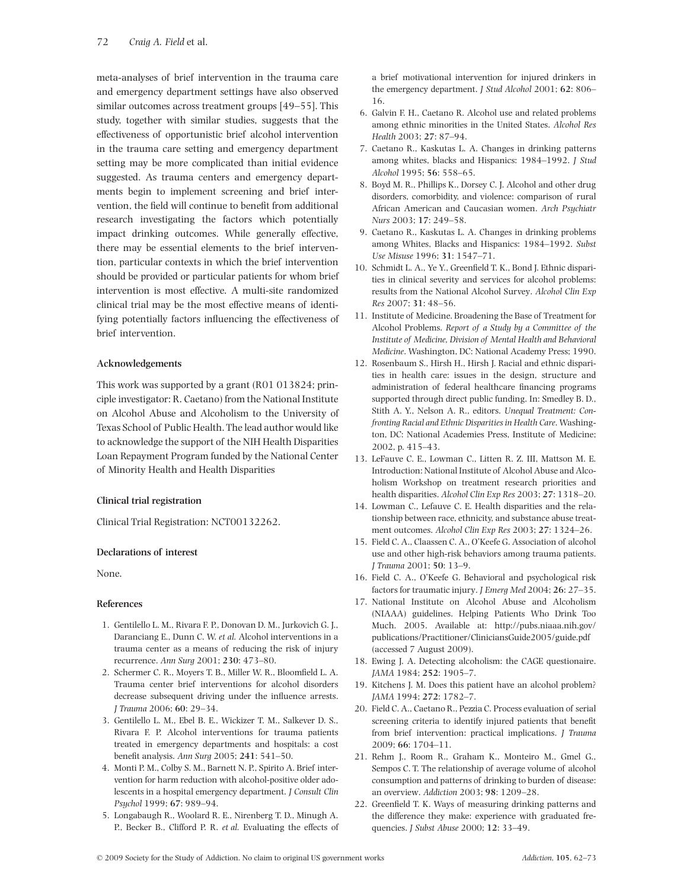meta-analyses of brief intervention in the trauma care and emergency department settings have also observed similar outcomes across treatment groups [49–55]. This study, together with similar studies, suggests that the effectiveness of opportunistic brief alcohol intervention in the trauma care setting and emergency department setting may be more complicated than initial evidence suggested. As trauma centers and emergency departments begin to implement screening and brief intervention, the field will continue to benefit from additional research investigating the factors which potentially impact drinking outcomes. While generally effective, there may be essential elements to the brief intervention, particular contexts in which the brief intervention should be provided or particular patients for whom brief intervention is most effective. A multi-site randomized clinical trial may be the most effective means of identifying potentially factors influencing the effectiveness of brief intervention.

#### **Acknowledgements**

This work was supported by a grant (R01 013824; principle investigator: R. Caetano) from the National Institute on Alcohol Abuse and Alcoholism to the University of Texas School of Public Health. The lead author would like to acknowledge the support of the NIH Health Disparities Loan Repayment Program funded by the National Center of Minority Health and Health Disparities

#### **Clinical trial registration**

Clinical Trial Registration: NCT00132262.

#### **Declarations of interest**

None.

#### **References**

- 1. Gentilello L. M., Rivara F. P., Donovan D. M., Jurkovich G. J., Daranciang E., Dunn C. W. *et al.* Alcohol interventions in a trauma center as a means of reducing the risk of injury recurrence. *Ann Surg* 2001; **230**: 473–80.
- 2. Schermer C. R., Moyers T. B., Miller W. R., Bloomfield L. A. Trauma center brief interventions for alcohol disorders decrease subsequent driving under the influence arrests. *J Trauma* 2006; **60**: 29–34.
- 3. Gentilello L. M., Ebel B. E., Wickizer T. M., Salkever D. S., Rivara F. P. Alcohol interventions for trauma patients treated in emergency departments and hospitals: a cost benefit analysis. *Ann Surg* 2005; **241**: 541–50.
- 4. Monti P. M., Colby S. M., Barnett N. P., Spirito A. Brief intervention for harm reduction with alcohol-positive older adolescents in a hospital emergency department. *J Consult Clin Psychol* 1999; **67**: 989–94.
- 5. Longabaugh R., Woolard R. E., Nirenberg T. D., Minugh A. P., Becker B., Clifford P. R. *et al.* Evaluating the effects of

a brief motivational intervention for injured drinkers in the emergency department. *J Stud Alcohol* 2001; **62**: 806– 16.

- 6. Galvin F. H., Caetano R. Alcohol use and related problems among ethnic minorities in the United States. *Alcohol Res Health* 2003; **27**: 87–94.
- 7. Caetano R., Kaskutas L. A. Changes in drinking patterns among whites, blacks and Hispanics: 1984–1992. *J Stud Alcohol* 1995; **56**: 558–65.
- 8. Boyd M. R., Phillips K., Dorsey C. J. Alcohol and other drug disorders, comorbidity, and violence: comparison of rural African American and Caucasian women. *Arch Psychiatr Nurs* 2003; **17**: 249–58.
- 9. Caetano R., Kaskutas L. A. Changes in drinking problems among Whites, Blacks and Hispanics: 1984–1992. *Subst Use Misuse* 1996; **31**: 1547–71.
- 10. Schmidt L. A., Ye Y., Greenfield T. K., Bond J. Ethnic disparities in clinical severity and services for alcohol problems: results from the National Alcohol Survey. *Alcohol Clin Exp Res* 2007; **31**: 48–56.
- 11. Institute of Medicine. Broadening the Base of Treatment for Alcohol Problems. *Report of a Study by a Committee of the Institute of Medicine, Division of Mental Health and Behavioral Medicine*. Washington, DC: National Academy Press; 1990.
- 12. Rosenbaum S., Hirsh H., Hirsh J. Racial and ethnic disparities in health care: issues in the design, structure and administration of federal healthcare financing programs supported through direct public funding. In: Smedley B. D., Stith A. Y., Nelson A. R., editors. *Unequal Treatment: Confronting Racial and Ethnic Disparities in Health Care*. Washington, DC: National Academies Press, Institute of Medicine; 2002, p. 415–43.
- 13. LeFauve C. E., Lowman C., Litten R. Z. III, Mattson M. E. Introduction: National Institute of Alcohol Abuse and Alcoholism Workshop on treatment research priorities and health disparities. *Alcohol Clin Exp Res* 2003; **27**: 1318–20.
- 14. Lowman C., Lefauve C. E. Health disparities and the relationship between race, ethnicity, and substance abuse treatment outcomes. *Alcohol Clin Exp Res* 2003; **27**: 1324–26.
- 15. Field C. A., Claassen C. A., O'Keefe G. Association of alcohol use and other high-risk behaviors among trauma patients. *J Trauma* 2001; **50**: 13–9.
- 16. Field C. A., O'Keefe G. Behavioral and psychological risk factors for traumatic injury. *J Emerg Med* 2004; **26**: 27–35.
- 17. National Institute on Alcohol Abuse and Alcoholism (NIAAA) guidelines. Helping Patients Who Drink Too Much. 2005. Available at: http://pubs.niaaa.nih.gov/ publications/Practitioner/CliniciansGuide2005/guide.pdf (accessed 7 August 2009).
- 18. Ewing J. A. Detecting alcoholism: the CAGE questionaire. *JAMA* 1984; **252**: 1905–7.
- 19. Kitchens J. M. Does this patient have an alcohol problem? *JAMA* 1994; **272**: 1782–7.
- 20. Field C. A., Caetano R., Pezzia C. Process evaluation of serial screening criteria to identify injured patients that benefit from brief intervention: practical implications. *J Trauma* 2009; **66**: 1704–11.
- 21. Rehm J., Room R., Graham K., Monteiro M., Gmel G., Sempos C. T. The relationship of average volume of alcohol consumption and patterns of drinking to burden of disease: an overview. *Addiction* 2003; **98**: 1209–28.
- 22. Greenfield T. K. Ways of measuring drinking patterns and the difference they make: experience with graduated frequencies. *J Subst Abuse* 2000; **12**: 33–49.